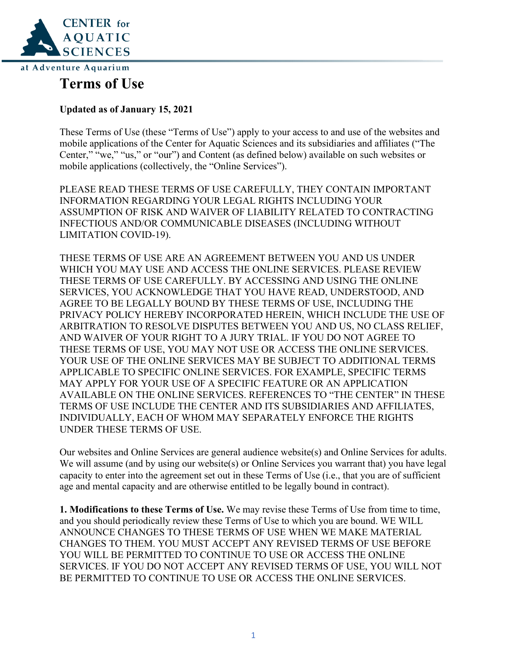

# **Terms of Use**

## **Updated as of January 15, 2021**

These Terms of Use (these "Terms of Use") apply to your access to and use of the websites and mobile applications of the Center for Aquatic Sciences and its subsidiaries and affiliates ("The Center," "we," "us," or "our") and Content (as defined below) available on such websites or mobile applications (collectively, the "Online Services").

PLEASE READ THESE TERMS OF USE CAREFULLY, THEY CONTAIN IMPORTANT INFORMATION REGARDING YOUR LEGAL RIGHTS INCLUDING YOUR ASSUMPTION OF RISK AND WAIVER OF LIABILITY RELATED TO CONTRACTING INFECTIOUS AND/OR COMMUNICABLE DISEASES (INCLUDING WITHOUT LIMITATION COVID-19).

THESE TERMS OF USE ARE AN AGREEMENT BETWEEN YOU AND US UNDER WHICH YOU MAY USE AND ACCESS THE ONLINE SERVICES. PLEASE REVIEW THESE TERMS OF USE CAREFULLY. BY ACCESSING AND USING THE ONLINE SERVICES, YOU ACKNOWLEDGE THAT YOU HAVE READ, UNDERSTOOD, AND AGREE TO BE LEGALLY BOUND BY THESE TERMS OF USE, INCLUDING THE PRIVACY POLICY HEREBY INCORPORATED HEREIN, WHICH INCLUDE THE USE OF ARBITRATION TO RESOLVE DISPUTES BETWEEN YOU AND US, NO CLASS RELIEF, AND WAIVER OF YOUR RIGHT TO A JURY TRIAL. IF YOU DO NOT AGREE TO THESE TERMS OF USE, YOU MAY NOT USE OR ACCESS THE ONLINE SERVICES. YOUR USE OF THE ONLINE SERVICES MAY BE SUBJECT TO ADDITIONAL TERMS APPLICABLE TO SPECIFIC ONLINE SERVICES. FOR EXAMPLE, SPECIFIC TERMS MAY APPLY FOR YOUR USE OF A SPECIFIC FEATURE OR AN APPLICATION AVAILABLE ON THE ONLINE SERVICES. REFERENCES TO "THE CENTER" IN THESE TERMS OF USE INCLUDE THE CENTER AND ITS SUBSIDIARIES AND AFFILIATES, INDIVIDUALLY, EACH OF WHOM MAY SEPARATELY ENFORCE THE RIGHTS UNDER THESE TERMS OF USE.

Our websites and Online Services are general audience website(s) and Online Services for adults. We will assume (and by using our website(s) or Online Services you warrant that) you have legal capacity to enter into the agreement set out in these Terms of Use (i.e., that you are of sufficient age and mental capacity and are otherwise entitled to be legally bound in contract).

**1. Modifications to these Terms of Use.** We may revise these Terms of Use from time to time, and you should periodically review these Terms of Use to which you are bound. WE WILL ANNOUNCE CHANGES TO THESE TERMS OF USE WHEN WE MAKE MATERIAL CHANGES TO THEM. YOU MUST ACCEPT ANY REVISED TERMS OF USE BEFORE YOU WILL BE PERMITTED TO CONTINUE TO USE OR ACCESS THE ONLINE SERVICES. IF YOU DO NOT ACCEPT ANY REVISED TERMS OF USE, YOU WILL NOT BE PERMITTED TO CONTINUE TO USE OR ACCESS THE ONLINE SERVICES.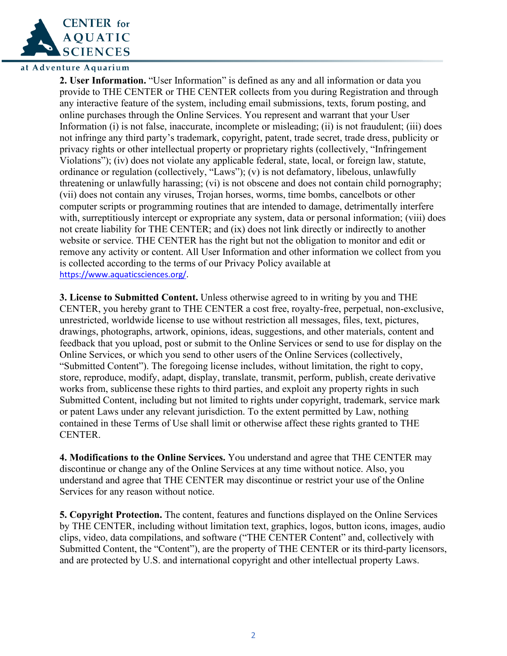

**2. User Information.** "User Information" is defined as any and all information or data you provide to THE CENTER or THE CENTER collects from you during Registration and through any interactive feature of the system, including email submissions, texts, forum posting, and online purchases through the Online Services. You represent and warrant that your User Information (i) is not false, inaccurate, incomplete or misleading; (ii) is not fraudulent; (iii) does not infringe any third party's trademark, copyright, patent, trade secret, trade dress, publicity or privacy rights or other intellectual property or proprietary rights (collectively, "Infringement Violations"); (iv) does not violate any applicable federal, state, local, or foreign law, statute, ordinance or regulation (collectively, "Laws"); (v) is not defamatory, libelous, unlawfully threatening or unlawfully harassing; (vi) is not obscene and does not contain child pornography; (vii) does not contain any viruses, Trojan horses, worms, time bombs, cancelbots or other computer scripts or programming routines that are intended to damage, detrimentally interfere with, surreptitiously intercept or expropriate any system, data or personal information; (viii) does not create liability for THE CENTER; and (ix) does not link directly or indirectly to another website or service. THE CENTER has the right but not the obligation to monitor and edit or remove any activity or content. All User Information and other information we collect from you is collected according to the terms of our Privacy Policy available at [https://www.aquaticsciences.org/.](https://www.aquaticsciences.org/)

**3. License to Submitted Content.** Unless otherwise agreed to in writing by you and THE CENTER, you hereby grant to THE CENTER a cost free, royalty-free, perpetual, non-exclusive, unrestricted, worldwide license to use without restriction all messages, files, text, pictures, drawings, photographs, artwork, opinions, ideas, suggestions, and other materials, content and feedback that you upload, post or submit to the Online Services or send to use for display on the Online Services, or which you send to other users of the Online Services (collectively, "Submitted Content"). The foregoing license includes, without limitation, the right to copy, store, reproduce, modify, adapt, display, translate, transmit, perform, publish, create derivative works from, sublicense these rights to third parties, and exploit any property rights in such Submitted Content, including but not limited to rights under copyright, trademark, service mark or patent Laws under any relevant jurisdiction. To the extent permitted by Law, nothing contained in these Terms of Use shall limit or otherwise affect these rights granted to THE CENTER.

**4. Modifications to the Online Services.** You understand and agree that THE CENTER may discontinue or change any of the Online Services at any time without notice. Also, you understand and agree that THE CENTER may discontinue or restrict your use of the Online Services for any reason without notice.

**5. Copyright Protection.** The content, features and functions displayed on the Online Services by THE CENTER, including without limitation text, graphics, logos, button icons, images, audio clips, video, data compilations, and software ("THE CENTER Content" and, collectively with Submitted Content, the "Content"), are the property of THE CENTER or its third-party licensors, and are protected by U.S. and international copyright and other intellectual property Laws.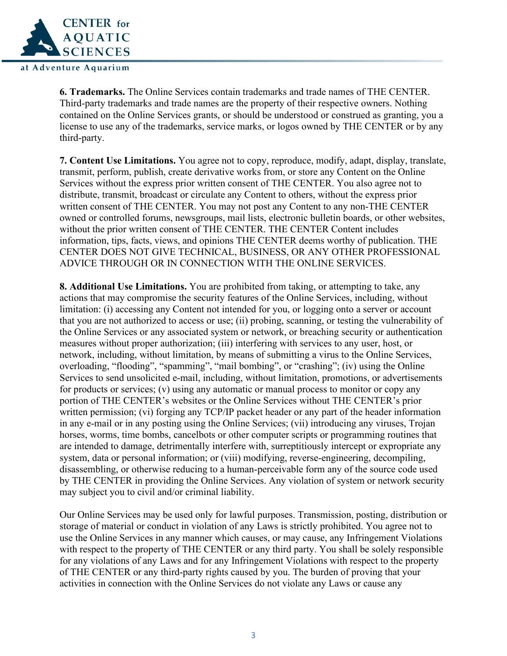

**6. Trademarks.** The Online Services contain trademarks and trade names of THE CENTER. Third-party trademarks and trade names are the property of their respective owners. Nothing contained on the Online Services grants, or should be understood or construed as granting, you a license to use any of the trademarks, service marks, or logos owned by THE CENTER or by any third-party.

**7. Content Use Limitations.** You agree not to copy, reproduce, modify, adapt, display, translate, transmit, perform, publish, create derivative works from, or store any Content on the Online Services without the express prior written consent of THE CENTER. You also agree not to distribute, transmit, broadcast or circulate any Content to others, without the express prior written consent of THE CENTER. You may not post any Content to any non-THE CENTER owned or controlled forums, newsgroups, mail lists, electronic bulletin boards, or other websites, without the prior written consent of THE CENTER. THE CENTER Content includes information, tips, facts, views, and opinions THE CENTER deems worthy of publication. THE CENTER DOES NOT GIVE TECHNICAL, BUSINESS, OR ANY OTHER PROFESSIONAL ADVICE THROUGH OR IN CONNECTION WITH THE ONLINE SERVICES.

**8. Additional Use Limitations.** You are prohibited from taking, or attempting to take, any actions that may compromise the security features of the Online Services, including, without limitation: (i) accessing any Content not intended for you, or logging onto a server or account that you are not authorized to access or use; (ii) probing, scanning, or testing the vulnerability of the Online Services or any associated system or network, or breaching security or authentication measures without proper authorization; (iii) interfering with services to any user, host, or network, including, without limitation, by means of submitting a virus to the Online Services, overloading, "flooding", "spamming", "mail bombing", or "crashing"; (iv) using the Online Services to send unsolicited e-mail, including, without limitation, promotions, or advertisements for products or services; (v) using any automatic or manual process to monitor or copy any portion of THE CENTER's websites or the Online Services without THE CENTER's prior written permission; (vi) forging any TCP/IP packet header or any part of the header information in any e-mail or in any posting using the Online Services; (vii) introducing any viruses, Trojan horses, worms, time bombs, cancelbots or other computer scripts or programming routines that are intended to damage, detrimentally interfere with, surreptitiously intercept or expropriate any system, data or personal information; or (viii) modifying, reverse-engineering, decompiling, disassembling, or otherwise reducing to a human-perceivable form any of the source code used by THE CENTER in providing the Online Services. Any violation of system or network security may subject you to civil and/or criminal liability.

Our Online Services may be used only for lawful purposes. Transmission, posting, distribution or storage of material or conduct in violation of any Laws is strictly prohibited. You agree not to use the Online Services in any manner which causes, or may cause, any Infringement Violations with respect to the property of THE CENTER or any third party. You shall be solely responsible for any violations of any Laws and for any Infringement Violations with respect to the property of THE CENTER or any third-party rights caused by you. The burden of proving that your activities in connection with the Online Services do not violate any Laws or cause any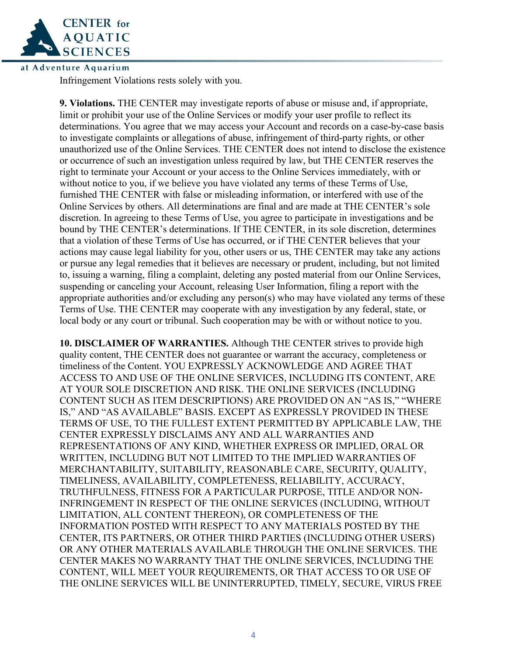

Infringement Violations rests solely with you.

**9. Violations.** THE CENTER may investigate reports of abuse or misuse and, if appropriate, limit or prohibit your use of the Online Services or modify your user profile to reflect its determinations. You agree that we may access your Account and records on a case-by-case basis to investigate complaints or allegations of abuse, infringement of third-party rights, or other unauthorized use of the Online Services. THE CENTER does not intend to disclose the existence or occurrence of such an investigation unless required by law, but THE CENTER reserves the right to terminate your Account or your access to the Online Services immediately, with or without notice to you, if we believe you have violated any terms of these Terms of Use, furnished THE CENTER with false or misleading information, or interfered with use of the Online Services by others. All determinations are final and are made at THE CENTER's sole discretion. In agreeing to these Terms of Use, you agree to participate in investigations and be bound by THE CENTER's determinations. If THE CENTER, in its sole discretion, determines that a violation of these Terms of Use has occurred, or if THE CENTER believes that your actions may cause legal liability for you, other users or us, THE CENTER may take any actions or pursue any legal remedies that it believes are necessary or prudent, including, but not limited to, issuing a warning, filing a complaint, deleting any posted material from our Online Services, suspending or canceling your Account, releasing User Information, filing a report with the appropriate authorities and/or excluding any person(s) who may have violated any terms of these Terms of Use. THE CENTER may cooperate with any investigation by any federal, state, or local body or any court or tribunal. Such cooperation may be with or without notice to you.

**10. DISCLAIMER OF WARRANTIES.** Although THE CENTER strives to provide high quality content, THE CENTER does not guarantee or warrant the accuracy, completeness or timeliness of the Content. YOU EXPRESSLY ACKNOWLEDGE AND AGREE THAT ACCESS TO AND USE OF THE ONLINE SERVICES, INCLUDING ITS CONTENT, ARE AT YOUR SOLE DISCRETION AND RISK. THE ONLINE SERVICES (INCLUDING CONTENT SUCH AS ITEM DESCRIPTIONS) ARE PROVIDED ON AN "AS IS," "WHERE IS," AND "AS AVAILABLE" BASIS. EXCEPT AS EXPRESSLY PROVIDED IN THESE TERMS OF USE, TO THE FULLEST EXTENT PERMITTED BY APPLICABLE LAW, THE CENTER EXPRESSLY DISCLAIMS ANY AND ALL WARRANTIES AND REPRESENTATIONS OF ANY KIND, WHETHER EXPRESS OR IMPLIED, ORAL OR WRITTEN, INCLUDING BUT NOT LIMITED TO THE IMPLIED WARRANTIES OF MERCHANTABILITY, SUITABILITY, REASONABLE CARE, SECURITY, QUALITY, TIMELINESS, AVAILABILITY, COMPLETENESS, RELIABILITY, ACCURACY, TRUTHFULNESS, FITNESS FOR A PARTICULAR PURPOSE, TITLE AND/OR NON-INFRINGEMENT IN RESPECT OF THE ONLINE SERVICES (INCLUDING, WITHOUT LIMITATION, ALL CONTENT THEREON), OR COMPLETENESS OF THE INFORMATION POSTED WITH RESPECT TO ANY MATERIALS POSTED BY THE CENTER, ITS PARTNERS, OR OTHER THIRD PARTIES (INCLUDING OTHER USERS) OR ANY OTHER MATERIALS AVAILABLE THROUGH THE ONLINE SERVICES. THE CENTER MAKES NO WARRANTY THAT THE ONLINE SERVICES, INCLUDING THE CONTENT, WILL MEET YOUR REQUIREMENTS, OR THAT ACCESS TO OR USE OF THE ONLINE SERVICES WILL BE UNINTERRUPTED, TIMELY, SECURE, VIRUS FREE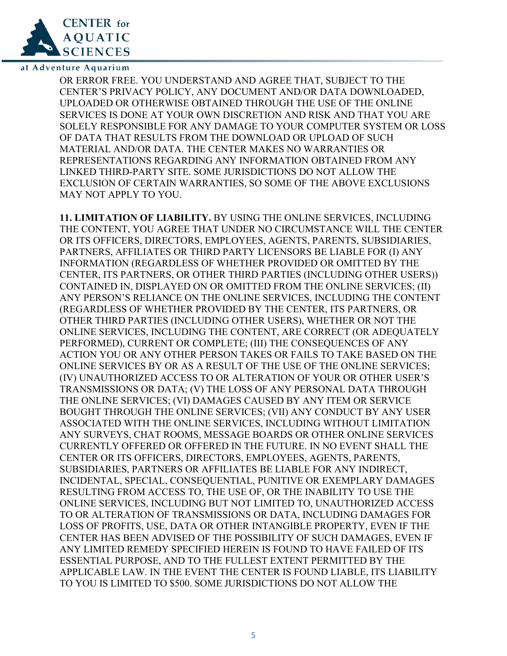

OR ERROR FREE. YOU UNDERSTAND AND AGREE THAT, SUBJECT TO THE CENTER'S PRIVACY POLICY, ANY DOCUMENT AND/OR DATA DOWNLOADED, UPLOADED OR OTHERWISE OBTAINED THROUGH THE USE OF THE ONLINE SERVICES IS DONE AT YOUR OWN DISCRETION AND RISK AND THAT YOU ARE SOLELY RESPONSIBLE FOR ANY DAMAGE TO YOUR COMPUTER SYSTEM OR LOSS OF DATA THAT RESULTS FROM THE DOWNLOAD OR UPLOAD OF SUCH MATERIAL AND/OR DATA. THE CENTER MAKES NO WARRANTIES OR REPRESENTATIONS REGARDING ANY INFORMATION OBTAINED FROM ANY LINKED THIRD-PARTY SITE. SOME JURISDICTIONS DO NOT ALLOW THE EXCLUSION OF CERTAIN WARRANTIES, SO SOME OF THE ABOVE EXCLUSIONS MAY NOT APPLY TO YOU.

**11. LIMITATION OF LIABILITY.** BY USING THE ONLINE SERVICES, INCLUDING THE CONTENT, YOU AGREE THAT UNDER NO CIRCUMSTANCE WILL THE CENTER OR ITS OFFICERS, DIRECTORS, EMPLOYEES, AGENTS, PARENTS, SUBSIDIARIES, PARTNERS, AFFILIATES OR THIRD PARTY LICENSORS BE LIABLE FOR (I) ANY INFORMATION (REGARDLESS OF WHETHER PROVIDED OR OMITTED BY THE CENTER, ITS PARTNERS, OR OTHER THIRD PARTIES (INCLUDING OTHER USERS)) CONTAINED IN, DISPLAYED ON OR OMITTED FROM THE ONLINE SERVICES; (II) ANY PERSON'S RELIANCE ON THE ONLINE SERVICES, INCLUDING THE CONTENT (REGARDLESS OF WHETHER PROVIDED BY THE CENTER, ITS PARTNERS, OR OTHER THIRD PARTIES (INCLUDING OTHER USERS), WHETHER OR NOT THE ONLINE SERVICES, INCLUDING THE CONTENT, ARE CORRECT (OR ADEQUATELY PERFORMED), CURRENT OR COMPLETE; (III) THE CONSEQUENCES OF ANY ACTION YOU OR ANY OTHER PERSON TAKES OR FAILS TO TAKE BASED ON THE ONLINE SERVICES BY OR AS A RESULT OF THE USE OF THE ONLINE SERVICES; (IV) UNAUTHORIZED ACCESS TO OR ALTERATION OF YOUR OR OTHER USER'S TRANSMISSIONS OR DATA; (V) THE LOSS OF ANY PERSONAL DATA THROUGH THE ONLINE SERVICES; (VI) DAMAGES CAUSED BY ANY ITEM OR SERVICE BOUGHT THROUGH THE ONLINE SERVICES; (VII) ANY CONDUCT BY ANY USER ASSOCIATED WITH THE ONLINE SERVICES, INCLUDING WITHOUT LIMITATION ANY SURVEYS, CHAT ROOMS, MESSAGE BOARDS OR OTHER ONLINE SERVICES CURRENTLY OFFERED OR OFFERED IN THE FUTURE. IN NO EVENT SHALL THE CENTER OR ITS OFFICERS, DIRECTORS, EMPLOYEES, AGENTS, PARENTS, SUBSIDIARIES, PARTNERS OR AFFILIATES BE LIABLE FOR ANY INDIRECT, INCIDENTAL, SPECIAL, CONSEQUENTIAL, PUNITIVE OR EXEMPLARY DAMAGES RESULTING FROM ACCESS TO, THE USE OF, OR THE INABILITY TO USE THE ONLINE SERVICES, INCLUDING BUT NOT LIMITED TO, UNAUTHORIZED ACCESS TO OR ALTERATION OF TRANSMISSIONS OR DATA, INCLUDING DAMAGES FOR LOSS OF PROFITS, USE, DATA OR OTHER INTANGIBLE PROPERTY, EVEN IF THE CENTER HAS BEEN ADVISED OF THE POSSIBILITY OF SUCH DAMAGES, EVEN IF ANY LIMITED REMEDY SPECIFIED HEREIN IS FOUND TO HAVE FAILED OF ITS ESSENTIAL PURPOSE, AND TO THE FULLEST EXTENT PERMITTED BY THE APPLICABLE LAW. IN THE EVENT THE CENTER IS FOUND LIABLE, ITS LIABILITY TO YOU IS LIMITED TO \$500. SOME JURISDICTIONS DO NOT ALLOW THE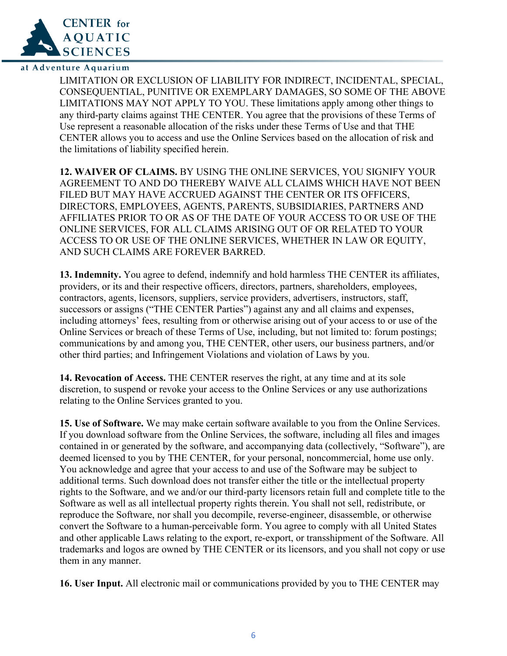

LIMITATION OR EXCLUSION OF LIABILITY FOR INDIRECT, INCIDENTAL, SPECIAL, CONSEQUENTIAL, PUNITIVE OR EXEMPLARY DAMAGES, SO SOME OF THE ABOVE LIMITATIONS MAY NOT APPLY TO YOU. These limitations apply among other things to any third-party claims against THE CENTER. You agree that the provisions of these Terms of Use represent a reasonable allocation of the risks under these Terms of Use and that THE CENTER allows you to access and use the Online Services based on the allocation of risk and the limitations of liability specified herein.

**12. WAIVER OF CLAIMS.** BY USING THE ONLINE SERVICES, YOU SIGNIFY YOUR AGREEMENT TO AND DO THEREBY WAIVE ALL CLAIMS WHICH HAVE NOT BEEN FILED BUT MAY HAVE ACCRUED AGAINST THE CENTER OR ITS OFFICERS, DIRECTORS, EMPLOYEES, AGENTS, PARENTS, SUBSIDIARIES, PARTNERS AND AFFILIATES PRIOR TO OR AS OF THE DATE OF YOUR ACCESS TO OR USE OF THE ONLINE SERVICES, FOR ALL CLAIMS ARISING OUT OF OR RELATED TO YOUR ACCESS TO OR USE OF THE ONLINE SERVICES, WHETHER IN LAW OR EQUITY, AND SUCH CLAIMS ARE FOREVER BARRED.

**13. Indemnity.** You agree to defend, indemnify and hold harmless THE CENTER its affiliates, providers, or its and their respective officers, directors, partners, shareholders, employees, contractors, agents, licensors, suppliers, service providers, advertisers, instructors, staff, successors or assigns ("THE CENTER Parties") against any and all claims and expenses, including attorneys' fees, resulting from or otherwise arising out of your access to or use of the Online Services or breach of these Terms of Use, including, but not limited to: forum postings; communications by and among you, THE CENTER, other users, our business partners, and/or other third parties; and Infringement Violations and violation of Laws by you.

**14. Revocation of Access.** THE CENTER reserves the right, at any time and at its sole discretion, to suspend or revoke your access to the Online Services or any use authorizations relating to the Online Services granted to you.

**15. Use of Software.** We may make certain software available to you from the Online Services. If you download software from the Online Services, the software, including all files and images contained in or generated by the software, and accompanying data (collectively, "Software"), are deemed licensed to you by THE CENTER, for your personal, noncommercial, home use only. You acknowledge and agree that your access to and use of the Software may be subject to additional terms. Such download does not transfer either the title or the intellectual property rights to the Software, and we and/or our third-party licensors retain full and complete title to the Software as well as all intellectual property rights therein. You shall not sell, redistribute, or reproduce the Software, nor shall you decompile, reverse-engineer, disassemble, or otherwise convert the Software to a human-perceivable form. You agree to comply with all United States and other applicable Laws relating to the export, re-export, or transshipment of the Software. All trademarks and logos are owned by THE CENTER or its licensors, and you shall not copy or use them in any manner.

**16. User Input.** All electronic mail or communications provided by you to THE CENTER may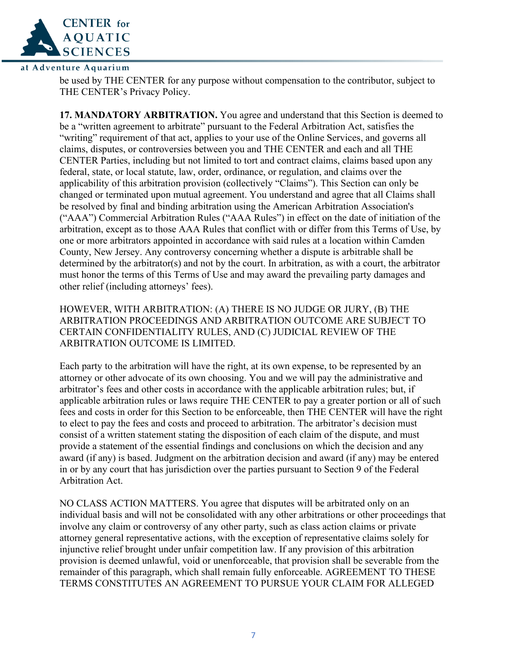

be used by THE CENTER for any purpose without compensation to the contributor, subject to THE CENTER's Privacy Policy.

**17. MANDATORY ARBITRATION.** You agree and understand that this Section is deemed to be a "written agreement to arbitrate" pursuant to the Federal Arbitration Act, satisfies the "writing" requirement of that act, applies to your use of the Online Services, and governs all claims, disputes, or controversies between you and THE CENTER and each and all THE CENTER Parties, including but not limited to tort and contract claims, claims based upon any federal, state, or local statute, law, order, ordinance, or regulation, and claims over the applicability of this arbitration provision (collectively "Claims"). This Section can only be changed or terminated upon mutual agreement. You understand and agree that all Claims shall be resolved by final and binding arbitration using the American Arbitration Association's ("AAA") Commercial Arbitration Rules ("AAA Rules") in effect on the date of initiation of the arbitration, except as to those AAA Rules that conflict with or differ from this Terms of Use, by one or more arbitrators appointed in accordance with said rules at a location within Camden County, New Jersey. Any controversy concerning whether a dispute is arbitrable shall be determined by the arbitrator(s) and not by the court. In arbitration, as with a court, the arbitrator must honor the terms of this Terms of Use and may award the prevailing party damages and other relief (including attorneys' fees).

HOWEVER, WITH ARBITRATION: (A) THERE IS NO JUDGE OR JURY, (B) THE ARBITRATION PROCEEDINGS AND ARBITRATION OUTCOME ARE SUBJECT TO CERTAIN CONFIDENTIALITY RULES, AND (C) JUDICIAL REVIEW OF THE ARBITRATION OUTCOME IS LIMITED.

Each party to the arbitration will have the right, at its own expense, to be represented by an attorney or other advocate of its own choosing. You and we will pay the administrative and arbitrator's fees and other costs in accordance with the applicable arbitration rules; but, if applicable arbitration rules or laws require THE CENTER to pay a greater portion or all of such fees and costs in order for this Section to be enforceable, then THE CENTER will have the right to elect to pay the fees and costs and proceed to arbitration. The arbitrator's decision must consist of a written statement stating the disposition of each claim of the dispute, and must provide a statement of the essential findings and conclusions on which the decision and any award (if any) is based. Judgment on the arbitration decision and award (if any) may be entered in or by any court that has jurisdiction over the parties pursuant to Section 9 of the Federal Arbitration Act.

NO CLASS ACTION MATTERS. You agree that disputes will be arbitrated only on an individual basis and will not be consolidated with any other arbitrations or other proceedings that involve any claim or controversy of any other party, such as class action claims or private attorney general representative actions, with the exception of representative claims solely for injunctive relief brought under unfair competition law. If any provision of this arbitration provision is deemed unlawful, void or unenforceable, that provision shall be severable from the remainder of this paragraph, which shall remain fully enforceable. AGREEMENT TO THESE TERMS CONSTITUTES AN AGREEMENT TO PURSUE YOUR CLAIM FOR ALLEGED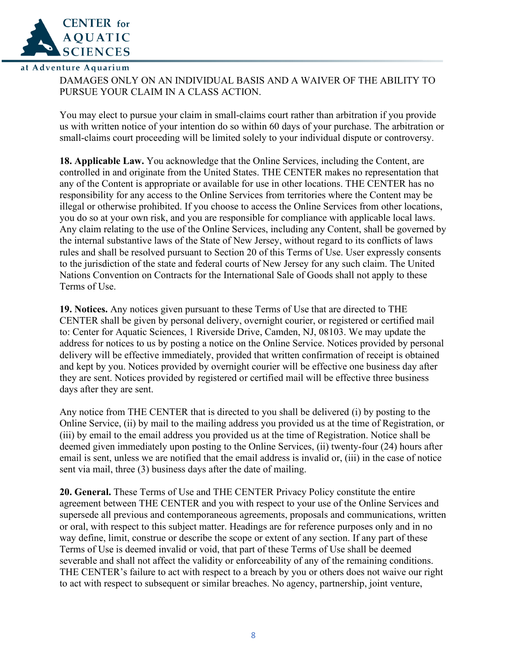

DAMAGES ONLY ON AN INDIVIDUAL BASIS AND A WAIVER OF THE ABILITY TO PURSUE YOUR CLAIM IN A CLASS ACTION.

You may elect to pursue your claim in small-claims court rather than arbitration if you provide us with written notice of your intention do so within 60 days of your purchase. The arbitration or small-claims court proceeding will be limited solely to your individual dispute or controversy.

**18. Applicable Law.** You acknowledge that the Online Services, including the Content, are controlled in and originate from the United States. THE CENTER makes no representation that any of the Content is appropriate or available for use in other locations. THE CENTER has no responsibility for any access to the Online Services from territories where the Content may be illegal or otherwise prohibited. If you choose to access the Online Services from other locations, you do so at your own risk, and you are responsible for compliance with applicable local laws. Any claim relating to the use of the Online Services, including any Content, shall be governed by the internal substantive laws of the State of New Jersey, without regard to its conflicts of laws rules and shall be resolved pursuant to Section 20 of this Terms of Use. User expressly consents to the jurisdiction of the state and federal courts of New Jersey for any such claim. The United Nations Convention on Contracts for the International Sale of Goods shall not apply to these Terms of Use.

**19. Notices.** Any notices given pursuant to these Terms of Use that are directed to THE CENTER shall be given by personal delivery, overnight courier, or registered or certified mail to: Center for Aquatic Sciences, 1 Riverside Drive, Camden, NJ, 08103. We may update the address for notices to us by posting a notice on the Online Service. Notices provided by personal delivery will be effective immediately, provided that written confirmation of receipt is obtained and kept by you. Notices provided by overnight courier will be effective one business day after they are sent. Notices provided by registered or certified mail will be effective three business days after they are sent.

Any notice from THE CENTER that is directed to you shall be delivered (i) by posting to the Online Service, (ii) by mail to the mailing address you provided us at the time of Registration, or (iii) by email to the email address you provided us at the time of Registration. Notice shall be deemed given immediately upon posting to the Online Services, (ii) twenty-four (24) hours after email is sent, unless we are notified that the email address is invalid or, (iii) in the case of notice sent via mail, three (3) business days after the date of mailing.

**20. General.** These Terms of Use and THE CENTER Privacy Policy constitute the entire agreement between THE CENTER and you with respect to your use of the Online Services and supersede all previous and contemporaneous agreements, proposals and communications, written or oral, with respect to this subject matter. Headings are for reference purposes only and in no way define, limit, construe or describe the scope or extent of any section. If any part of these Terms of Use is deemed invalid or void, that part of these Terms of Use shall be deemed severable and shall not affect the validity or enforceability of any of the remaining conditions. THE CENTER's failure to act with respect to a breach by you or others does not waive our right to act with respect to subsequent or similar breaches. No agency, partnership, joint venture,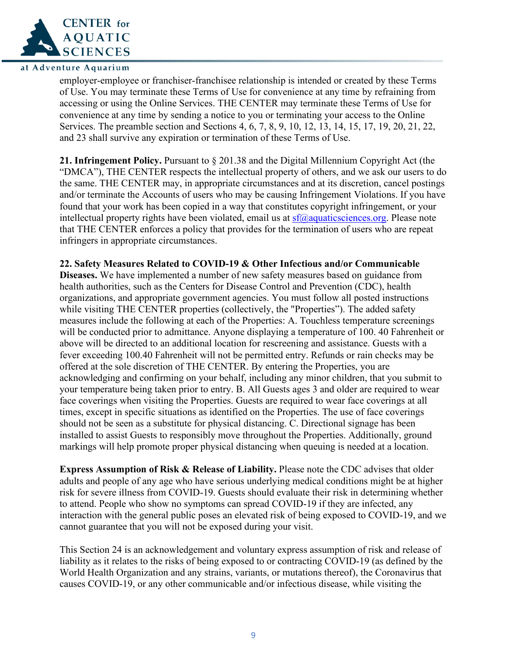

employer-employee or franchiser-franchisee relationship is intended or created by these Terms of Use. You may terminate these Terms of Use for convenience at any time by refraining from accessing or using the Online Services. THE CENTER may terminate these Terms of Use for convenience at any time by sending a notice to you or terminating your access to the Online Services. The preamble section and Sections 4, 6, 7, 8, 9, 10, 12, 13, 14, 15, 17, 19, 20, 21, 22, and 23 shall survive any expiration or termination of these Terms of Use.

**21. Infringement Policy.** Pursuant to § 201.38 and the Digital Millennium Copyright Act (the "DMCA"), THE CENTER respects the intellectual property of others, and we ask our users to do the same. THE CENTER may, in appropriate circumstances and at its discretion, cancel postings and/or terminate the Accounts of users who may be causing Infringement Violations. If you have found that your work has been copied in a way that constitutes copyright infringement, or your intellectual property rights have been violated, email us at  $\frac{s}{(a)}$  aquaticsciences.org. Please note that THE CENTER enforces a policy that provides for the termination of users who are repeat infringers in appropriate circumstances.

### **22. Safety Measures Related to COVID-19 & Other Infectious and/or Communicable**

**Diseases.** We have implemented a number of new safety measures based on guidance from health authorities, such as the Centers for Disease Control and Prevention (CDC), health organizations, and appropriate government agencies. You must follow all posted instructions while visiting THE CENTER properties (collectively, the "Properties"). The added safety measures include the following at each of the Properties: A. Touchless temperature screenings will be conducted prior to admittance. Anyone displaying a temperature of 100. 40 Fahrenheit or above will be directed to an additional location for rescreening and assistance. Guests with a fever exceeding 100.40 Fahrenheit will not be permitted entry. Refunds or rain checks may be offered at the sole discretion of THE CENTER. By entering the Properties, you are acknowledging and confirming on your behalf, including any minor children, that you submit to your temperature being taken prior to entry. B. All Guests ages 3 and older are required to wear face coverings when visiting the Properties. Guests are required to wear face coverings at all times, except in specific situations as identified on the Properties. The use of face coverings should not be seen as a substitute for physical distancing. C. Directional signage has been installed to assist Guests to responsibly move throughout the Properties. Additionally, ground markings will help promote proper physical distancing when queuing is needed at a location.

**Express Assumption of Risk & Release of Liability.** Please note the CDC advises that older adults and people of any age who have serious underlying medical conditions might be at higher risk for severe illness from COVID-19. Guests should evaluate their risk in determining whether to attend. People who show no symptoms can spread COVID-19 if they are infected, any interaction with the general public poses an elevated risk of being exposed to COVID-19, and we cannot guarantee that you will not be exposed during your visit.

This Section 24 is an acknowledgement and voluntary express assumption of risk and release of liability as it relates to the risks of being exposed to or contracting COVID-19 (as defined by the World Health Organization and any strains, variants, or mutations thereof), the Coronavirus that causes COVID-19, or any other communicable and/or infectious disease, while visiting the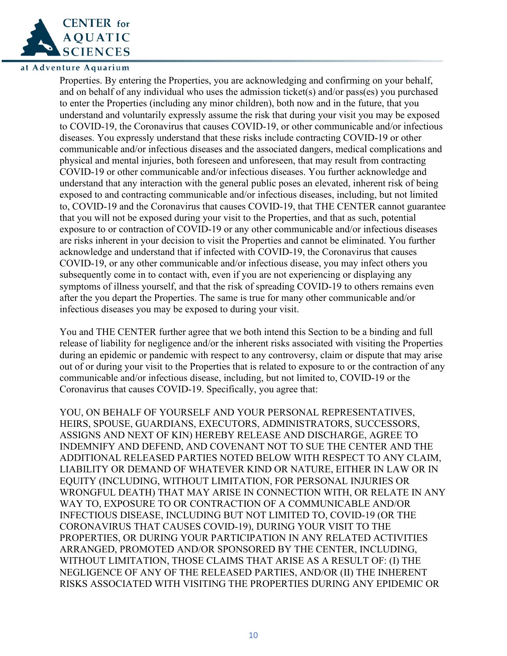

Properties. By entering the Properties, you are acknowledging and confirming on your behalf, and on behalf of any individual who uses the admission ticket(s) and/or pass(es) you purchased to enter the Properties (including any minor children), both now and in the future, that you understand and voluntarily expressly assume the risk that during your visit you may be exposed to COVID-19, the Coronavirus that causes COVID-19, or other communicable and/or infectious diseases. You expressly understand that these risks include contracting COVID-19 or other communicable and/or infectious diseases and the associated dangers, medical complications and physical and mental injuries, both foreseen and unforeseen, that may result from contracting COVID-19 or other communicable and/or infectious diseases. You further acknowledge and understand that any interaction with the general public poses an elevated, inherent risk of being exposed to and contracting communicable and/or infectious diseases, including, but not limited to, COVID-19 and the Coronavirus that causes COVID-19, that THE CENTER cannot guarantee that you will not be exposed during your visit to the Properties, and that as such, potential exposure to or contraction of COVID-19 or any other communicable and/or infectious diseases are risks inherent in your decision to visit the Properties and cannot be eliminated. You further acknowledge and understand that if infected with COVID-19, the Coronavirus that causes COVID-19, or any other communicable and/or infectious disease, you may infect others you subsequently come in to contact with, even if you are not experiencing or displaying any symptoms of illness yourself, and that the risk of spreading COVID-19 to others remains even after the you depart the Properties. The same is true for many other communicable and/or infectious diseases you may be exposed to during your visit.

You and THE CENTER further agree that we both intend this Section to be a binding and full release of liability for negligence and/or the inherent risks associated with visiting the Properties during an epidemic or pandemic with respect to any controversy, claim or dispute that may arise out of or during your visit to the Properties that is related to exposure to or the contraction of any communicable and/or infectious disease, including, but not limited to, COVID-19 or the Coronavirus that causes COVID-19. Specifically, you agree that:

YOU, ON BEHALF OF YOURSELF AND YOUR PERSONAL REPRESENTATIVES, HEIRS, SPOUSE, GUARDIANS, EXECUTORS, ADMINISTRATORS, SUCCESSORS, ASSIGNS AND NEXT OF KIN) HEREBY RELEASE AND DISCHARGE, AGREE TO INDEMNIFY AND DEFEND, AND COVENANT NOT TO SUE THE CENTER AND THE ADDITIONAL RELEASED PARTIES NOTED BELOW WITH RESPECT TO ANY CLAIM, LIABILITY OR DEMAND OF WHATEVER KIND OR NATURE, EITHER IN LAW OR IN EQUITY (INCLUDING, WITHOUT LIMITATION, FOR PERSONAL INJURIES OR WRONGFUL DEATH) THAT MAY ARISE IN CONNECTION WITH, OR RELATE IN ANY WAY TO, EXPOSURE TO OR CONTRACTION OF A COMMUNICABLE AND/OR INFECTIOUS DISEASE, INCLUDING BUT NOT LIMITED TO, COVID-19 (OR THE CORONAVIRUS THAT CAUSES COVID-19), DURING YOUR VISIT TO THE PROPERTIES, OR DURING YOUR PARTICIPATION IN ANY RELATED ACTIVITIES ARRANGED, PROMOTED AND/OR SPONSORED BY THE CENTER, INCLUDING, WITHOUT LIMITATION, THOSE CLAIMS THAT ARISE AS A RESULT OF: (I) THE NEGLIGENCE OF ANY OF THE RELEASED PARTIES, AND/OR (II) THE INHERENT RISKS ASSOCIATED WITH VISITING THE PROPERTIES DURING ANY EPIDEMIC OR